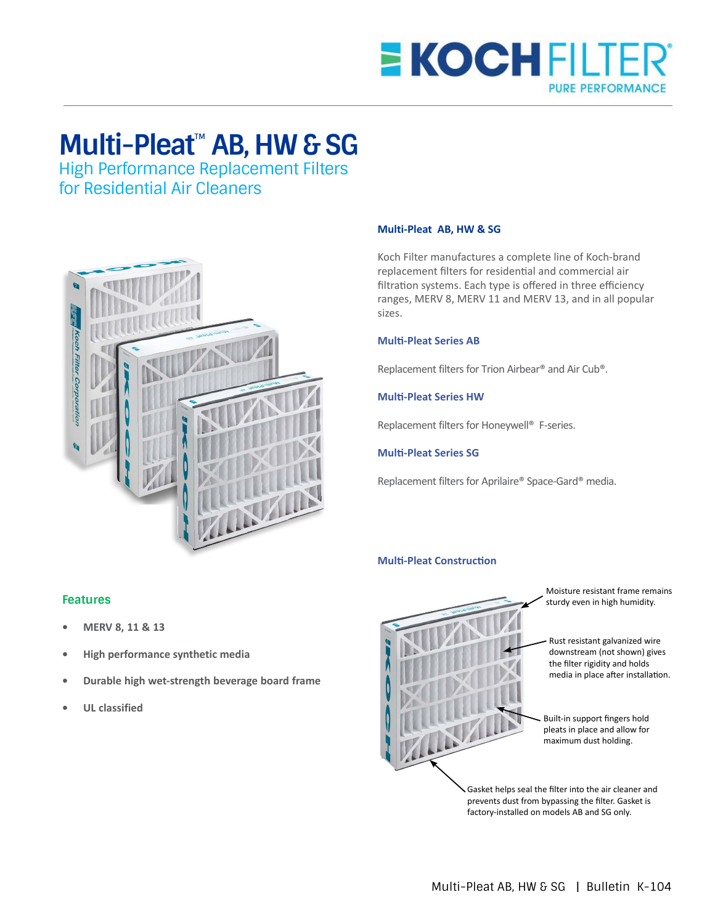

# **Multi-Pleat**™ **AB, HW & SG**

High Performance Replacement Filters for Residential Air Cleaners



### **Multi-Pleat AB, HW & SG**

Koch Filter manufactures a complete line of Koch-brand replacement filters for residential and commercial air filtration systems. Each type is offered in three efficiency ranges, MERV 8, MERV 11 and MERV 13, and in all popular sizes.

### **Multi-Pleat Series AB**

Replacement filters for Trion Airbear® and Air Cub®.

## **Multi-Pleat Series HW**

Replacement filters for Honeywell® F-series.

#### **Multi-Pleat Series SG**

Replacement filters for Aprilaire® Space-Gard® media.

# **Multi-Pleat Construction**



Moisture resistant frame remains sturdy even in high humidity.

Rust resistant galvanized wire downstream (not shown) gives the filter rigidity and holds media in place after installation.

Built-in support fingers hold pleats in place and allow for maximum dust holding.

Gasket helps seal the filter into the air cleaner and prevents dust from bypassing the filter. Gasket is factory-installed on models AB and SG only.

# **Features**

- **• MERV 8, 11 & 13**
- **• High performance synthetic media**
- **• Durable high wet-strength beverage board frame**
- **• UL classified**